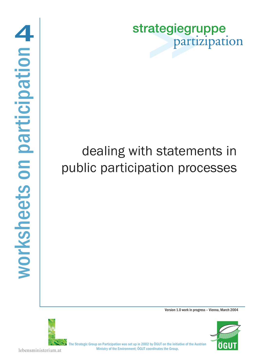strategiegruppe partizipation

# dealing with statements in public participation processes

Version 1.0 work in progress – Vienna, March 2004





The Strategic Group on Participation was set up in 2002 by ÖGUT on the initiative of the Austrian Ministry of the Environment; ÖGUT coordinates the Group.

lebensministerium.at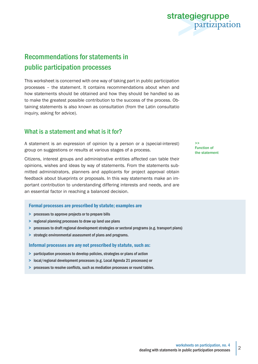# Recommendations for statements in

# public participation processes

This worksheet is concerned with one way of taking part in public participation processes – the statement. It contains recommendations about when and how statements should be obtained and how they should be handled so as to make the greatest possible contribution to the success of the process. Obtaining statements is also known as consultation (from the Latin consultatio inquiry, asking for advice).

### What is a statement and what is it for?

A statement is an expression of opinion by a person or a (special-interest) group on suggestions or results at various stages of a process.

Citizens, interest groups and administrative entities affected can table their opinions, wishes and ideas by way of statements. From the statements submitted administrators, planners and applicants for project approval obtain feedback about blueprints or proposals. In this way statements make an important contribution to understanding differing interests and needs, and are an essential factor in reaching a balanced decision.

### Formal processes are prescribed by statute; examples are

- > processes to approve projects or to prepare bills
- > regional planning processes to draw up land use plans
- > processes to draft regional development strategies or sectoral programs (e.g. transport plans)
- > strategic environmental assessment of plans and programs.

### Informal processes are any not prescribed by statute, such as:

- > participation processes to develop policies, strategies or plans of action
- > local/regional development processes (e.g. Local Agenda 21 processes) or
- > processes to resolve conflicts, such as mediation processes or round tables.

>> Function of the statement

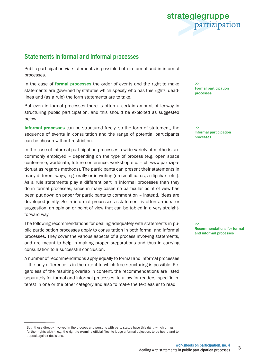

## Statements in formal and informal processes

Public participation via statements is possible both in formal and in informal processes.

In the case of **formal processes** the order of events and the right to make statements are governed by statutes which specify who has this right<sup>1</sup>, deadlines and (as a rule) the form statements are to take.

But even in formal processes there is often a certain amount of leeway in structuring public participation, and this should be exploited as suggested below.

Informal processes can be structured freely, so the form of statement, the sequence of events in consultation and the range of potential participants can be chosen without restriction.

In the case of informal participation processes a wide variety of methods are commonly employed – depending on the type of process (e.g. open space conference, worldcafé, future conference, workshop etc. – cf. www.partizipation.at as regards methods). The participants can present their statements in many different ways, e.g. orally or in writing (on small cards, a flipchart etc.). As a rule statements play a different part in informal processes than they do in formal processes, since in many cases no particular point of view has been put down on paper for participants to comment on – instead, ideas are developed jointly. So in informal processes a statement is often an idea or suggestion, an opinion or point of view that can be tabled in a very straightforward way.

The following recommendations for dealing adequately with statements in public participation processes apply to consultation in both formal and informal processes. They cover the various aspects of a process involving statements, and are meant to help in making proper preparations and thus in carrying consultation to a successful conclusion.

A number of recommendations apply equally to formal and informal processes – the only difference is in the extent to which free structuring is possible. Regardless of the resulting overlap in content, the recommendations are listed separately for formal and informal processes, to allow for readers' specific interest in one or the other category and also to make the text easier to read.

>> Formal participation processes

>> Informal participation processes

>> Recommendations for formal and informal processes

<sup>&</sup>lt;sup>1</sup> Both those directly involved in the process and persons with party status have this right, which brings further rights with it, e.g. the right to examine official files, to lodge a formal objection, to be heard and to appeal against decisions.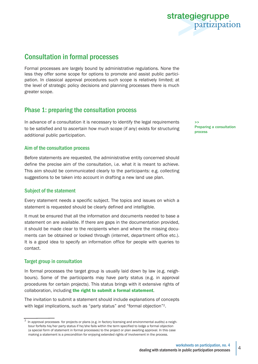

## Consultation in formal processes

Formal processes are largely bound by administrative regulations. None the less they offer some scope for options to promote and assist public participation. In classical approval procedures such scope is relatively limited; at the level of strategic policy decisions and planning processes there is much greater scope.

### Phase 1: preparing the consultation process

In advance of a consultation it is necessary to identify the legal requirements to be satisfied and to ascertain how much scope (if any) exists for structuring additional public participation.

### Aim of the consultation process

Before statements are requested, the administrative entity concerned should define the precise aim of the consultation, i.e. what it is meant to achieve. This aim should be communicated clearly to the participants: e.g. collecting suggestions to be taken into account in drafting a new land use plan.

### Subject of the statement

Every statement needs a specific subject. The topics and issues on which a statement is requested should be clearly defined and intelligible.

It must be ensured that all the information and documents needed to base a statement on are available. If there are gaps in the documentation provided, it should be made clear to the recipients when and where the missing documents can be obtained or looked through (internet, department office etc.). It is a good idea to specify an information office for people with queries to contact.

### Target group in consultation

In formal processes the target group is usually laid down by law (e.g. neighbours). Some of the participants may have party status (e.g. in approval procedures for certain projects). This status brings with it extensive rights of collaboration, including the right to submit a formal statement.

The invitation to submit a statement should include explanations of concepts with legal implications, such as "party status" and "formal objection"<sup>2</sup>.

 $\geq$ Preparing a consultation process

 $^2$  In approval processes for projects or plans (e.g. in factory licensing and environmental audits) a neighbour forfeits his/her party status if he/she fails within the term specified to lodge a formal objection (a special form of statement in formal processes) to the project or plan awaiting approval. In this case making a statement is a precondition for enjoying extended rights of involvement in the process.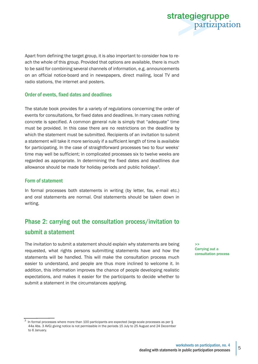

Apart from defining the target group, it is also important to consider how to reach the whole of this group. Provided that options are available, there is much to be said for combining several channels of information, e.g. announcements on an official notice-board and in newspapers, direct mailing, local TV and radio stations, the internet and posters.

### Order of events, fixed dates and deadlines

The statute book provides for a variety of regulations concerning the order of events for consultations, for fixed dates and deadlines. In many cases nothing concrete is specified. A common general rule is simply that "adequate" time must be provided. In this case there are no restrictions on the deadline by which the statement must be submitted. Recipients of an invitation to submit a statement will take it more seriously if a sufficient length of time is available for participating. In the case of straightforward processes two to four weeks' time may well be sufficient; in complicated processes six to twelve weeks are regarded as appropriate. In determining the fixed dates and deadlines due allowance should be made for holiday periods and public holidays<sup>3</sup>.

### Form of statement

In formal processes both statements in writing (by letter, fax, e-mail etc.) and oral statements are normal. Oral statements should be taken down in writing.

# Phase 2: carrying out the consultation process/invitation to submit a statement

The invitation to submit a statement should explain why statements are being requested, what rights persons submitting statements have and how the statements will be handled. This will make the consultation process much easier to understand, and people are thus more inclined to welcome it. In addition, this information improves the chance of people developing realistic expectations, and makes it easier for the participants to decide whether to submit a statement in the circumstances applying.

>> Carrying out a consultation process

<sup>3</sup> In formal processes where more than 100 participants are expected (large-scale processes as per § 44a Abs. 3 AVG) giving notice is not permissible in the periods 15 July to 25 August and 24 December to 6 January.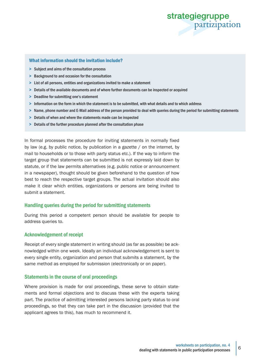

### What information should the invitation include?

- > Subject and aims of the consultation process
- > Background to and occasion for the consultation
- > List of all persons, entities and organizations invited to make a statement
- > Details of the available documents and of where further documents can be inspected or acquired
- > Deadline for submitting one's statement
- > Information on the form in which the statement is to be submitted, with what details and to which address
- > Name, phone number and E-Mail address of the person provided to deal with queries during the period for submitting statements
- > Details of when and where the statements made can be inspected
- > Details of the further procedure planned after the consultation phase

In formal processes the procedure for inviting statements in normally fixed by law (e.g. by public notice, by publication in a gazette / on the internet, by mail to households or to those with party status etc.). If the way to inform the target group that statements can be submitted is not expressly laid down by statute, or if the law permits alternatives (e.g. public notice or announcement in a newspaper), thought should be given beforehand to the question of how best to reach the respective target groups. The actual invitation should also make it clear which entities, organizations or persons are being invited to submit a statement.

### Handling queries during the period for submitting statements

During this period a competent person should be available for people to address queries to.

### Acknowledgement of receipt

Receipt of every single statement in writing should (as far as possible) be acknowledged within one week. Ideally an individual acknowledgement is sent to every single entity, organization and person that submits a statement, by the same method as employed for submission (electronically or on paper).

### Statements in the course of oral proceedings

Where provision is made for oral proceedings, these serve to obtain statements and formal objections and to discuss these with the experts taking part. The practice of admitting interested persons lacking party status to oral proceedings, so that they can take part in the discussion (provided that the applicant agrees to this), has much to recommend it.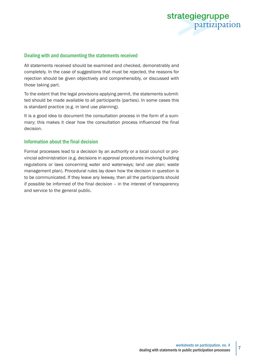

### Dealing with and documenting the statements received

All statements received should be examined and checked, demonstrably and completely. In the case of suggestions that must be rejected, the reasons for rejection should be given objectively and comprehensibly, or discussed with those taking part.

To the extent that the legal provisions applying permit, the statements submitted should be made available to all participants (parties). In some cases this is standard practice (e.g. in land use planning).

It is a good idea to document the consultation process in the form of a summary; this makes it clear how the consultation process influenced the final decision.

### Information about the final decision

Formal processes lead to a decision by an authority or a local council or provincial administration (e.g. decisions in approval procedures involving building regulations or laws concerning water and waterways; land use plan; waste management plan). Procedural rules lay down how the decision in question is to be communicated. If they leave any leeway, then all the participants should if possible be informed of the final decision – in the interest of transparency and service to the general public.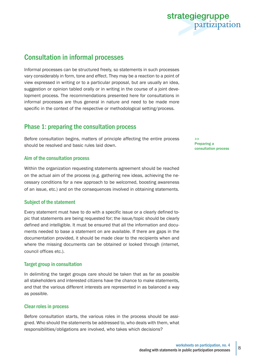

# Consultation in informal processes

Informal processes can be structured freely, so statements in such processes vary considerably in form, tone and effect. They may be a reaction to a point of view expressed in writing or to a particular proposal, but are usually an idea, suggestion or opinion tabled orally or in writing in the course of a joint development process. The recommendations presented here for consultations in informal processes are thus general in nature and need to be made more specific in the context of the respective or methodological setting/process.

### Phase 1: preparing the consultation process

Before consultation begins, matters of principle affecting the entire process should be resolved and basic rules laid down.

### Aim of the consultation process

Within the organization requesting statements agreement should be reached on the actual aim of the process (e.g. gathering new ideas, achieving the necessary conditions for a new approach to be welcomed, boosting awareness of an issue, etc.) and on the consequences involved in obtaining statements.

### Subject of the statement

Every statement must have to do with a specific issue or a clearly defined topic that statements are being requested for; the issue/topic should be clearly defined and intelligible. It must be ensured that all the information and documents needed to base a statement on are available. If there are gaps in the documentation provided, it should be made clear to the recipients when and where the missing documents can be obtained or looked through (internet, council offices etc.).

### Target group in consultation

In delimiting the target groups care should be taken that as far as possible all stakeholders and interested citizens have the chance to make statements, and that the various different interests are represented in as balanced a way as possible.

### Clear roles in process

Before consultation starts, the various roles in the process should be assigned. Who should the statements be addressed to, who deals with them, what responsibilities/obligations are involved, who takes which decisions?

>> Preparing a consultation process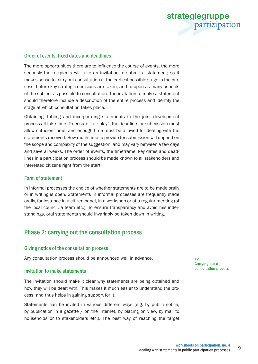

### Order of events, fixed dates and deadlines

The more opportunities there are to influence the course of events, the more seriously the recipients will take an invitation to submit a statement; so it makes sense to carry out consultation at the earliest possible stage in the process, before key strategic decisions are taken, and to open as many aspects of the subject as possible to consultation. The invitation to make a statement should therefore include a description of the entire process and identify the stage at which consultation takes place.

Obtaining, tabling and incorporating statements in the joint development process all take time. To ensure "fair play", the deadline for submission must allow sufficient time, and enough time must be allowed for dealing with the statements received. How much time to provide for submission will depend on the scope and complexity of the suggestion, and may vary between a few days and several weeks. The order of events, the timeframe, key dates and deadlines in a participation process should be made known to all stakeholders and interested citizens right from the start.

### Form of statement

In informal processes the choice of whether statements are to be made orally or in writing is open. Statements in informal processes are frequently made orally, for instance in a citizen panel, in a workshop or at a regular meeting (of the local council, a team etc.). To ensure transparency and avoid misunderstandings, oral statements should invariably be taken down in writing.

### Phase 2: carrying out the consultation process

### Giving notice of the consultation process

Any consultation process should be announced well in advance.

#### Invitation to make statements

The invitation should make it clear why statements are being obtained and how they will be dealt with. This makes it much easier to understand the process, and thus helps in gaining support for it.

Statements can be invited in various different ways (e.g. by public notice, by publication in a gazette / on the internet, by placing on view, by mail to households or to stakeholders etc.). The best way of reaching the target >> Carrying out a consultation process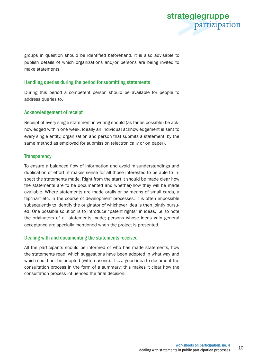

groups in question should be identified beforehand. It is also advisable to publish details of which organizations and/or persons are being invited to make statements.

### Handling queries during the period for submitting statements

During this period a competent person should be available for people to address queries to.

### Acknowledgement of receipt

Receipt of every single statement in writing should (as far as possible) be acknowledged within one week. Ideally an individual acknowledgement is sent to every single entity, organization and person that submits a statement, by the same method as employed for submission (electronically or on paper).

### **Transparency**

To ensure a balanced flow of information and avoid misunderstandings and duplication of effort, it makes sense for all those interested to be able to inspect the statements made. Right from the start it should be made clear how the statements are to be documented and whether/how they will be made available. Where statements are made orally or by means of small cards, a flipchart etc. in the course of development processes, it is often impossible subsequently to identify the originator of whichever idea is then jointly pursued. One possible solution is to introduce "patent rights" in ideas, i.e. to note the originators of all statements made; persons whose ideas gain general acceptance are specially mentioned when the project is presented.

### Dealing with and documenting the statements received

All the participants should be informed of who has made statements, how the statements read, which suggestions have been adopted in what way and which could not be adopted (with reasons). It is a good idea to document the consultation process in the form of a summary; this makes it clear how the consultation process influenced the final decision.